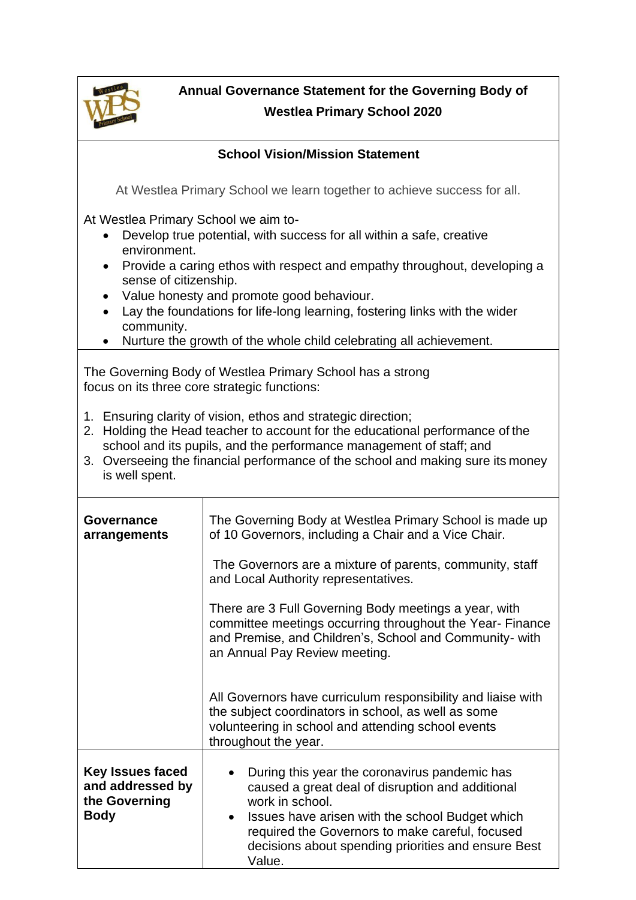

**Annual Governance Statement for the Governing Body of Westlea Primary School 2020**

| <b>School Vision/Mission Statement</b>                                                                                                                                                                                                                                                                                                                                                                                                                                                  |                                                                                                                                                                                                                                                                                             |  |
|-----------------------------------------------------------------------------------------------------------------------------------------------------------------------------------------------------------------------------------------------------------------------------------------------------------------------------------------------------------------------------------------------------------------------------------------------------------------------------------------|---------------------------------------------------------------------------------------------------------------------------------------------------------------------------------------------------------------------------------------------------------------------------------------------|--|
| At Westlea Primary School we learn together to achieve success for all.                                                                                                                                                                                                                                                                                                                                                                                                                 |                                                                                                                                                                                                                                                                                             |  |
| At Westlea Primary School we aim to-<br>Develop true potential, with success for all within a safe, creative<br>$\bullet$<br>environment.<br>Provide a caring ethos with respect and empathy throughout, developing a<br>$\bullet$<br>sense of citizenship.<br>Value honesty and promote good behaviour.<br>$\bullet$<br>Lay the foundations for life-long learning, fostering links with the wider<br>community.<br>Nurture the growth of the whole child celebrating all achievement. |                                                                                                                                                                                                                                                                                             |  |
| The Governing Body of Westlea Primary School has a strong<br>focus on its three core strategic functions:                                                                                                                                                                                                                                                                                                                                                                               |                                                                                                                                                                                                                                                                                             |  |
| 1. Ensuring clarity of vision, ethos and strategic direction;<br>Holding the Head teacher to account for the educational performance of the<br>2.<br>school and its pupils, and the performance management of staff; and<br>3. Overseeing the financial performance of the school and making sure its money<br>is well spent.                                                                                                                                                           |                                                                                                                                                                                                                                                                                             |  |
| <b>Governance</b><br>arrangements                                                                                                                                                                                                                                                                                                                                                                                                                                                       | The Governing Body at Westlea Primary School is made up<br>of 10 Governors, including a Chair and a Vice Chair.                                                                                                                                                                             |  |
|                                                                                                                                                                                                                                                                                                                                                                                                                                                                                         | The Governors are a mixture of parents, community, staff<br>and Local Authority representatives.                                                                                                                                                                                            |  |
|                                                                                                                                                                                                                                                                                                                                                                                                                                                                                         | There are 3 Full Governing Body meetings a year, with<br>committee meetings occurring throughout the Year- Finance<br>and Premise, and Children's, School and Community- with<br>an Annual Pay Review meeting.                                                                              |  |
|                                                                                                                                                                                                                                                                                                                                                                                                                                                                                         | All Governors have curriculum responsibility and liaise with<br>the subject coordinators in school, as well as some<br>volunteering in school and attending school events<br>throughout the year.                                                                                           |  |
| <b>Key Issues faced</b><br>and addressed by<br>the Governing<br><b>Body</b>                                                                                                                                                                                                                                                                                                                                                                                                             | During this year the coronavirus pandemic has<br>caused a great deal of disruption and additional<br>work in school.<br>Issues have arisen with the school Budget which<br>required the Governors to make careful, focused<br>decisions about spending priorities and ensure Best<br>Value. |  |